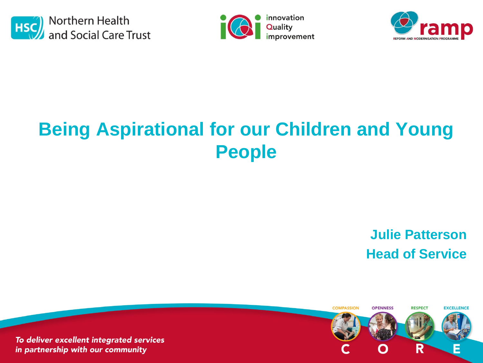





# **Being Aspirational for our Children and Young People**

**Julie Patterson Head of Service**

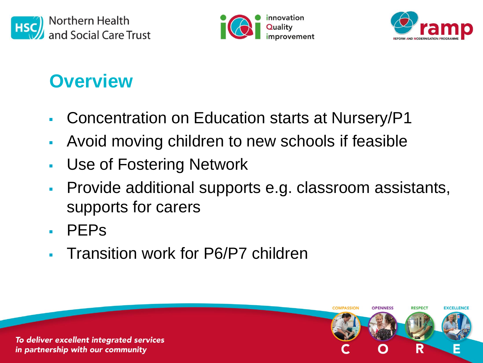





## **Overview**

- Concentration on Education starts at Nursery/P1
- Avoid moving children to new schools if feasible
- Use of Fostering Network
- Provide additional supports e.g. classroom assistants, supports for carers

**COMPASSION** 

OPENNESS

**RESPECT** 

**EXCELLENCI** 

- PEPs
- **Transition work for P6/P7 children**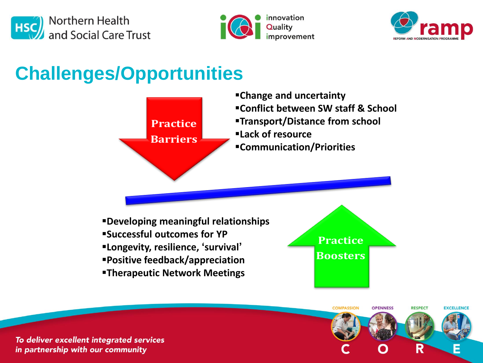





**EXCELLENCE** 

**RESPECT** 

R

#### **Challenges/Opportunities**



**COMPASSION** 

OPENNESS

To deliver excellent integrated services in partnership with our community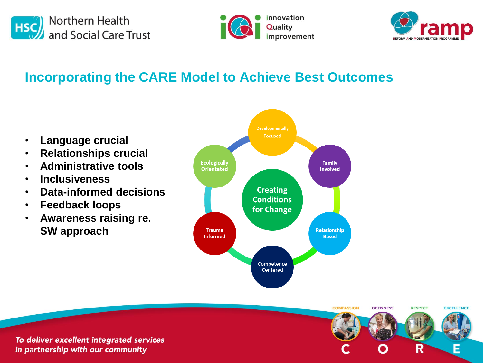





#### **Incorporating the CARE Model to Achieve Best Outcomes**

- **Language crucial**
- **Relationships crucial**
- **Administrative tools**
- **Inclusiveness**
- **Data-informed decisions**
- **Feedback loops**
- **Awareness raising re. SW approach**



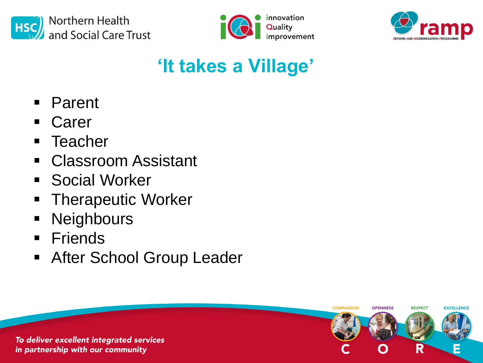





**RESPECT** 

R

OPENNESS

**COMPASSION** 

**EXCELLENCE** 

# **'It takes a Village'**

- Parent
- Carer
- **Teacher**
- Classroom Assistant
- **Social Worker**
- **Therapeutic Worker**
- **Neighbours**
- **Friends**
- **After School Group Leader**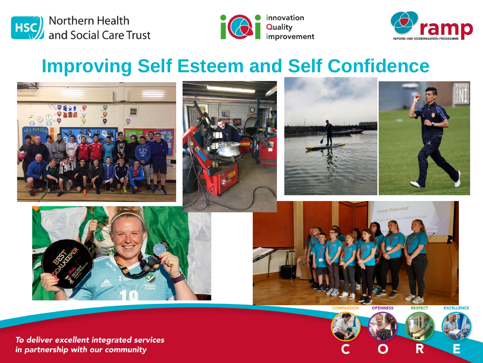





#### **Improving Self Esteem and Self Confidence**



**OPENNESS** 

**RESPECT** 

**EXCELLENCE** 

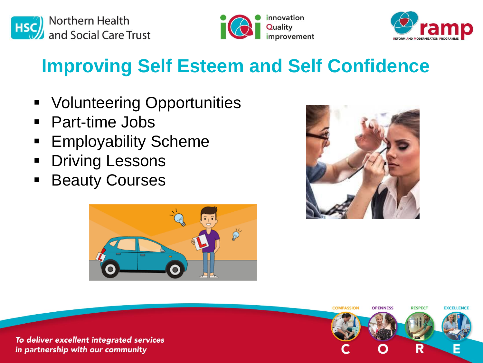





## **Improving Self Esteem and Self Confidence**

- **Volunteering Opportunities**
- Part-time Jobs
- **Employability Scheme**
- **Driving Lessons**
- **Beauty Courses**